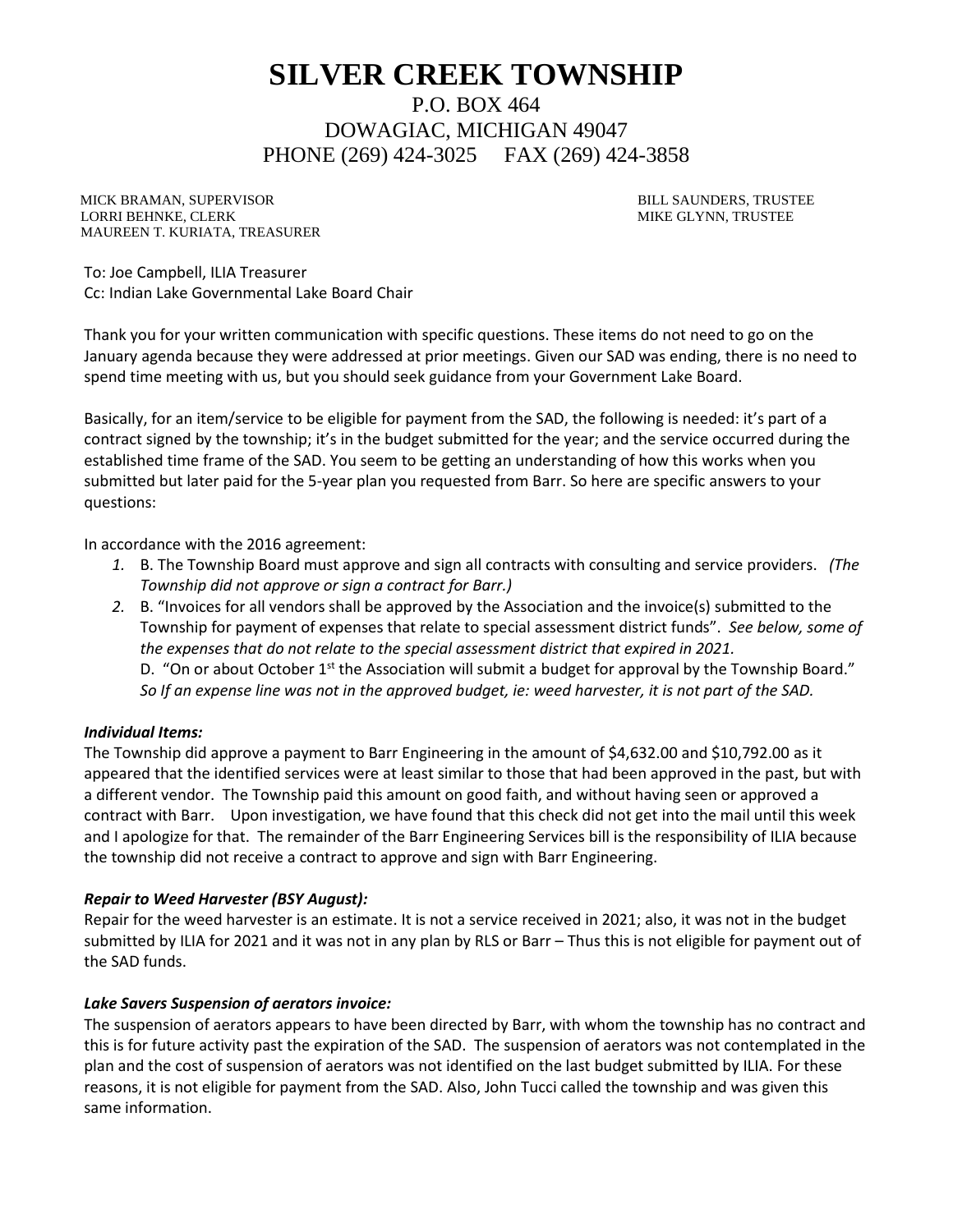# **SILVER CREEK TOWNSHIP**

P.O. BOX 464 DOWAGIAC, MICHIGAN 49047 PHONE (269) 424-3025 FAX (269) 424-3858

MICK BRAMAN, SUPERVISOR BILL SAUNDERS, TRUSTEE LORRI BEHNKE, CLERK MIKE GLYNN, TRUSTEE MAUREEN T. KURIATA, TREASURER

To: Joe Campbell, ILIA Treasurer Cc: Indian Lake Governmental Lake Board Chair

Thank you for your written communication with specific questions. These items do not need to go on the January agenda because they were addressed at prior meetings. Given our SAD was ending, there is no need to spend time meeting with us, but you should seek guidance from your Government Lake Board.

Basically, for an item/service to be eligible for payment from the SAD, the following is needed: it's part of a contract signed by the township; it's in the budget submitted for the year; and the service occurred during the established time frame of the SAD. You seem to be getting an understanding of how this works when you submitted but later paid for the 5-year plan you requested from Barr. So here are specific answers to your questions:

In accordance with the 2016 agreement:

- *1.* B. The Township Board must approve and sign all contracts with consulting and service providers. *(The Township did not approve or sign a contract for Barr.)*
- *2.* B. "Invoices for all vendors shall be approved by the Association and the invoice(s) submitted to the Township for payment of expenses that relate to special assessment district funds". *See below, some of the expenses that do not relate to the special assessment district that expired in 2021.* D. "On or about October  $1^{st}$  the Association will submit a budget for approval by the Township Board." *So If an expense line was not in the approved budget, ie: weed harvester, it is not part of the SAD.*

### *Individual Items:*

The Township did approve a payment to Barr Engineering in the amount of \$4,632.00 and \$10,792.00 as it appeared that the identified services were at least similar to those that had been approved in the past, but with a different vendor. The Township paid this amount on good faith, and without having seen or approved a contract with Barr. Upon investigation, we have found that this check did not get into the mail until this week and I apologize for that. The remainder of the Barr Engineering Services bill is the responsibility of ILIA because the township did not receive a contract to approve and sign with Barr Engineering.

### *Repair to Weed Harvester (BSY August):*

Repair for the weed harvester is an estimate. It is not a service received in 2021; also, it was not in the budget submitted by ILIA for 2021 and it was not in any plan by RLS or Barr – Thus this is not eligible for payment out of the SAD funds.

### *Lake Savers Suspension of aerators invoice:*

The suspension of aerators appears to have been directed by Barr, with whom the township has no contract and this is for future activity past the expiration of the SAD. The suspension of aerators was not contemplated in the plan and the cost of suspension of aerators was not identified on the last budget submitted by ILIA. For these reasons, it is not eligible for payment from the SAD. Also, John Tucci called the township and was given this same information.